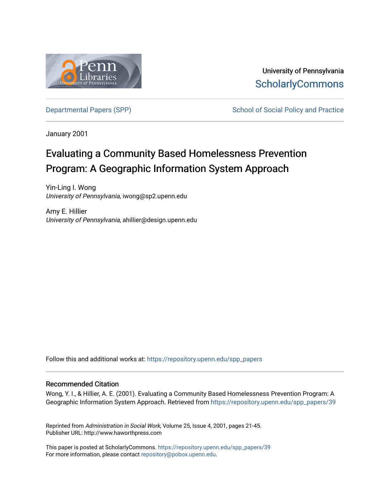

University of Pennsylvania **ScholarlyCommons** 

[Departmental Papers \(SPP\)](https://repository.upenn.edu/spp_papers) School of Social Policy and Practice

January 2001

# Evaluating a Community Based Homelessness Prevention Program: A Geographic Information System Approach

Yin-Ling I. Wong University of Pennsylvania, iwong@sp2.upenn.edu

Amy E. Hillier University of Pennsylvania, ahillier@design.upenn.edu

Follow this and additional works at: [https://repository.upenn.edu/spp\\_papers](https://repository.upenn.edu/spp_papers?utm_source=repository.upenn.edu%2Fspp_papers%2F39&utm_medium=PDF&utm_campaign=PDFCoverPages) 

#### Recommended Citation

Wong, Y. I., & Hillier, A. E. (2001). Evaluating a Community Based Homelessness Prevention Program: A Geographic Information System Approach. Retrieved from [https://repository.upenn.edu/spp\\_papers/39](https://repository.upenn.edu/spp_papers/39?utm_source=repository.upenn.edu%2Fspp_papers%2F39&utm_medium=PDF&utm_campaign=PDFCoverPages)

Reprinted from Administration in Social Work, Volume 25, Issue 4, 2001, pages 21-45. Publisher URL: http://www.haworthpress.com

This paper is posted at ScholarlyCommons. [https://repository.upenn.edu/spp\\_papers/39](https://repository.upenn.edu/spp_papers/39)  For more information, please contact [repository@pobox.upenn.edu.](mailto:repository@pobox.upenn.edu)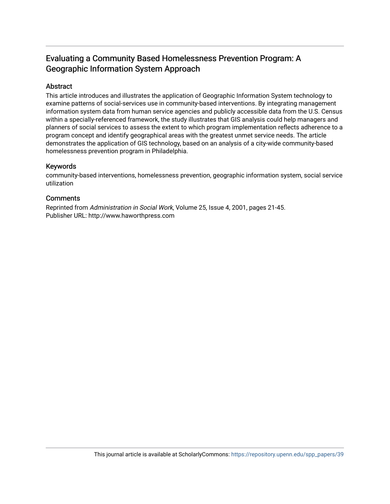## Evaluating a Community Based Homelessness Prevention Program: A Geographic Information System Approach

## Abstract

This article introduces and illustrates the application of Geographic Information System technology to examine patterns of social-services use in community-based interventions. By integrating management information system data from human service agencies and publicly accessible data from the U.S. Census within a specially-referenced framework, the study illustrates that GIS analysis could help managers and planners of social services to assess the extent to which program implementation reflects adherence to a program concept and identify geographical areas with the greatest unmet service needs. The article demonstrates the application of GIS technology, based on an analysis of a city-wide community-based homelessness prevention program in Philadelphia.

## Keywords

community-based interventions, homelessness prevention, geographic information system, social service utilization

## **Comments**

Reprinted from Administration in Social Work, Volume 25, Issue 4, 2001, pages 21-45. Publisher URL: http://www.haworthpress.com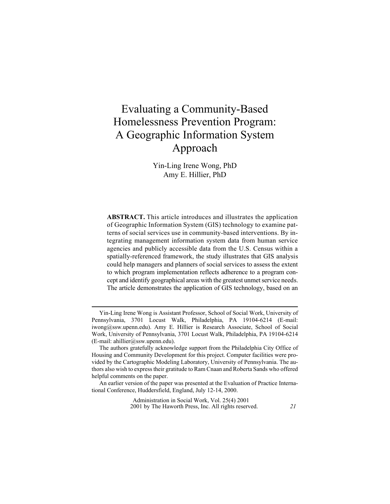## **Evaluating a Community-Based** Homelessness Prevention Program: A Geographic Information System Approach

Yin-Ling Irene Wong, PhD Amy E. Hillier, PhD

**ABSTRACT.** This article introduces and illustrates the application of Geographic Information System (GIS) technology to examine patterns of social services use in community-based interventions. By integrating management information system data from human service agencies and publicly accessible data from the U.S. Census within a spatially-referenced framework, the study illustrates that GIS analysis could help managers and planners of social services to assess the extent to which program implementation reflects adherence to a program concept and identify geographical areas with the greatest unmet service needs. The article demonstrates the application of GIS technology, based on an

Administration in Social Work, Vol. 25(4) 2001 2001 by The Haworth Press, Inc. All rights reserved.

Yin-Ling Irene Wong is Assistant Professor, School of Social Work, University of Pennsylvania, 3701 Locust Walk, Philadelphia, PA 19104-6214 (E-mail: iwong@ssw.upenn.edu). Amy E. Hillier is Research Associate, School of Social Work, University of Pennsylvania, 3701 Locust Walk, Philadelphia, PA 19104-6214  $(E-mail: [ahillier@ssw.upenn.edu](mailto:ahillier@ssw.upenn.edu)).$ 

The authors gratefully acknowledge support from the Philadelphia City Office of Housing and Community Development for this project. Computer facilities were provided by the Cartographic Modeling Laboratory, University of Pennsylvania. The authors also wish to express their gratitude to Ram Cnaan and Roberta Sands who offered helpful comments on the paper.

An earlier version of the paper was presented at the Evaluation of Practice International Conference, Huddersfield, England, July 12-14, 2000.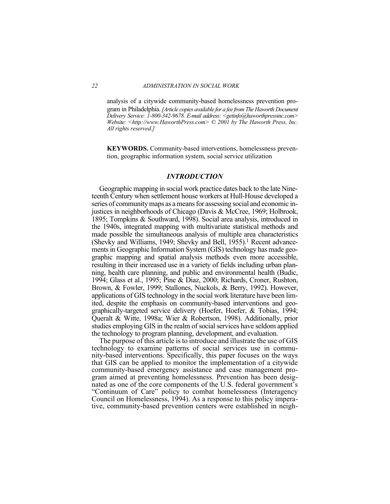analysis of a citywide community-based homelessness prevention pro-

gram in Philadelphia. [Article copies available for a fee from The Haworth Document Delivery Service: 1-800-342-9678. E-mail address: < getinfo@haworthpressinc.com> Website: <http://www.HaworthPress.com> © 2001 by The Haworth Press, Inc. All rights reserved.]

**KEYWORDS.** Community-based interventions, homelessness prevention, geographic information system, social service utilization

#### **INTRODUCTION**

Geographic mapping in social work practice dates back to the late Nineteenth Century when settlement house workers at Hull-House developed a series of community maps as a means for assessing social and economic injustices in neighborhoods of Chicago (Davis & McCree, 1969; Holbrook, 1895; Tompkins & Southward, 1998). Social area analysis, introduced in the 1940s, integrated mapping with multivariate statistical methods and made possible the simultaneous analysis of multiple area characteristics (Shevky and Williams, 1949; Shevky and Bell, 1955).<sup>1</sup> Recent advancements in Geographic Information System (GIS) technology has made geographic mapping and spatial analysis methods even more accessible, resulting in their increased use in a variety of fields including urban planning, health care planning, and public and environmental health (Budic, 1994; Glass et al., 1995; Pine & Diaz, 2000; Richards, Croner, Rushton, Brown, & Fowler, 1999; Stallones, Nuckols, & Berry, 1992). However, applications of GIS technology in the social work literature have been limited, despite the emphasis on community-based interventions and geographically-targeted service delivery (Hoefer, Hoefer, & Tobias, 1994; Queralt & Witte, 1998a; Wier & Robertson, 1998). Additionally, prior studies employing GIS in the realm of social services have seldom applied the technology to program planning, development, and evaluation.

The purpose of this article is to introduce and illustrate the use of GIS technology to examine patterns of social services use in community-based interventions. Specifically, this paper focuses on the ways that GIS can be applied to monitor the implementation of a citywide community-based emergency assistance and case management program aimed at preventing homelessness. Prevention has been designated as one of the core components of the U.S. federal government's "Continuum of Care" policy to combat homelessness (Interagency Council on Homelessness, 1994). As a response to this policy imperative, community-based prevention centers were established in neigh-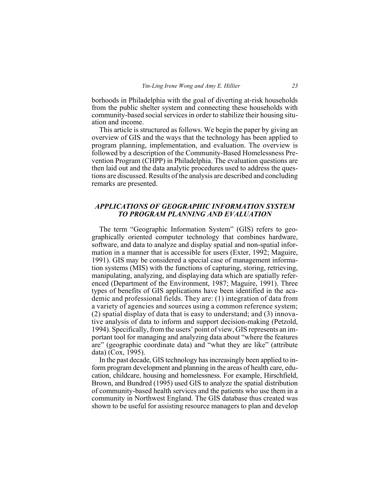borhoods in Philadelphia with the goal of diverting at-risk households from the public shelter system and connecting these households with community-based social services in order to stabilize their housing situation and income.

This article is structured as follows. We begin the paper by giving an overview of GIS and the ways that the technology has been applied to program planning, implementation, and evaluation. The overview is followed by a description of the Community-Based Homelessness Prevention Program (CHPP) in Philadelphia. The evaluation questions are then laid out and the data analytic procedures used to address the questions are discussed. Results of the analysis are described and concluding remarks are presented.

### $APPLICATIONS OF GEOGRAPHIC INFORMATION SYSTEM$ *70 PROGRAM PLANNING AND EVALUATION*

The term "Geographic Information System" (GIS) refers to geographically oriented computer technology that combines hardware, software, and data to analyze and display spatial and non-spatial information in a manner that is accessible for users (Exter, 1992; Maguire, 1991). GIS may be considered a special case of management information systems (MIS) with the functions of capturing, storing, retrieving, manipulating, analyzing, and displaying data which are spatially referenced (Department of the Environment, 1987; Maguire, 1991). Three types of benefits of GIS applications have been identified in the academic and professional fields. They are:  $(1)$  integration of data from a variety of agencies and sources using a common reference system;  $(2)$  spatial display of data that is easy to understand; and  $(3)$  innovative analysis of data to inform and support decision-making (Petzold, 1994). Specifically, from the users' point of view, GIS represents an important tool for managing and analyzing data about "where the features" are" (geographic coordinate data) and "what they are like" (attribute data)  $(Cox, 1995)$ .

In the past decade, GIS technology has increasingly been applied to inform program development and planning in the areas of health care, education, childcare, housing and homelessness. For example, Hirschfield, Brown, and Bundred (1995) used GIS to analyze the spatial distribution of community-based health services and the patients who use them in a community in Northwest England. The GIS database thus created was shown to be useful for assisting resource managers to plan and develop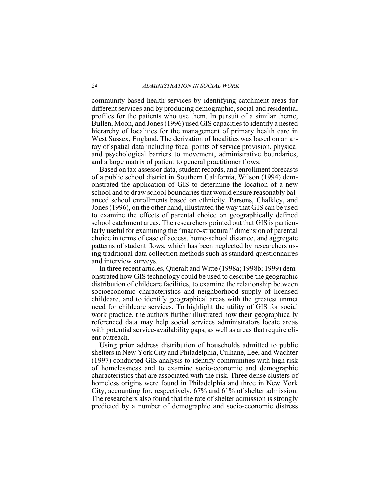community-based health services by identifying catchment areas for different services and by producing demographic, social and residential profiles for the patients who use them. In pursuit of a similar theme, Bullen, Moon, and Jones (1996) used GIS capacities to identify a nested hierarchy of localities for the management of primary health care in West Sussex, England. The derivation of localities was based on an array of spatial data including focal points of service provision, physical and psychological barriers to movement, administrative boundaries, and a large matrix of patient to general practitioner flows.

Based on tax assessor data, student records, and enrollment forecasts of a public school district in Southern California, Wilson (1994) demonstrated the application of GIS to determine the location of a new school and to draw school boundaries that would ensure reasonably balanced school enrollments based on ethnicity. Parsons, Chalkley, and Jones (1996), on the other hand, illustrated the way that GIS can be used to examine the effects of parental choice on geographically defined school catchment areas. The researchers pointed out that GIS is particularly useful for examining the "macro-structural" dimension of parental choice in terms of ease of access, home-school distance, and aggregate patterns of student flows, which has been neglected by researchers using traditional data collection methods such as standard questionnaires and interview surveys.

In three recent articles, Queralt and Witte (1998a; 1998b; 1999) demonstrated how GIS technology could be used to describe the geographic distribution of childcare facilities, to examine the relationship between socioeconomic characteristics and neighborhood supply of licensed childcare, and to identify geographical areas with the greatest unmet heed for childcare services. To highlight the utility of GIS for social work practice, the authors further illustrated how their geographically referenced data may help social services administrators locate areas with potential service-availability gaps, as well as areas that require client outreach.

Using prior address distribution of households admitted to public shelters in New York City and Philadelphia, Culhane, Lee, and Wachter  $(1997)$  conducted GIS analysis to identify communities with high risk of homelessness and to examine socio-economic and demographic characteristics that are associated with the risk. Three dense clusters of homeless origins were found in Philadelphia and three in New York City, accounting for, respectively,  $67\%$  and  $61\%$  of shelter admission. The researchers also found that the rate of shelter admission is strongly predicted by a number of demographic and socio-economic distress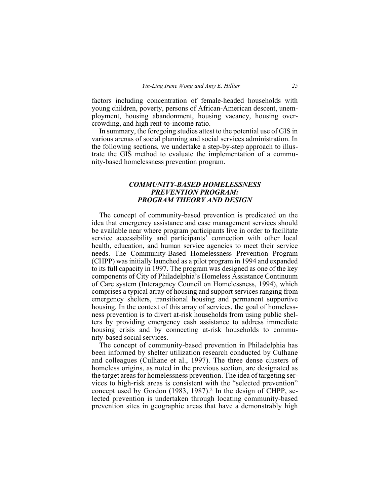factors including concentration of female-headed households with young children, poverty, persons of African-American descent, unemployment, housing abandonment, housing vacancy, housing overcrowding, and high rent-to-income ratio.

In summary, the foregoing studies attest to the potential use of GIS in various arenas of social planning and social services administration. In the following sections, we undertake a step-by-step approach to illustrate the GIS method to evaluate the implementation of a community-based homelessness prevention program.

#### $\emph{COMMUNITY-BASED}$  HOMELESSNESS **PREVENTION PROGRAM: PROGRAM THEORY AND DESIGN**

The concept of community-based prevention is predicated on the idea that emergency assistance and case management services should be available near where program participants live in order to facilitate service accessibility and participants' connection with other local health, education, and human service agencies to meet their service needs. The Community-Based Homelessness Prevention Program  $(CHPP)$  was initially launched as a pilot program in 1994 and expanded to its full capacity in 1997. The program was designed as one of the key components of City of Philadelphia's Homeless Assistance Continuum of Care system (Interagency Council on Homelessness, 1994), which comprises a typical array of housing and support services ranging from emergency shelters, transitional housing and permanent supportive housing. In the context of this array of services, the goal of homelessness prevention is to divert at-risk households from using public shelters by providing emergency cash assistance to address immediate housing crisis and by connecting at-risk households to community-based social services.

The concept of community-based prevention in Philadelphia has been informed by shelter utilization research conducted by Culhane and colleagues (Culhane et al., 1997). The three dense clusters of homeless origins, as noted in the previous section, are designated as the target areas for homelessness prevention. The idea of targeting services to high-risk areas is consistent with the "selected prevention" concept used by Gordon  $(1983, 1987)$ .<sup>2</sup> In the design of CHPP, selected prevention is undertaken through locating community-based prevention sites in geographic areas that have a demonstrably high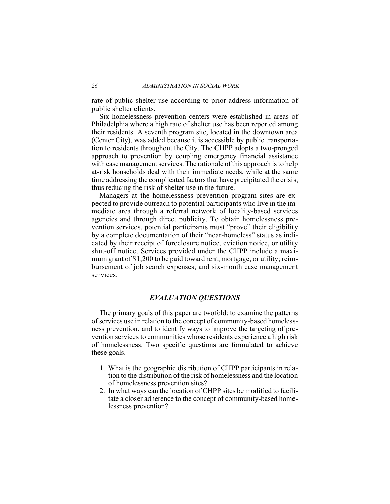rate of public shelter use according to prior address information of public shelter clients.

Six homelessness prevention centers were established in areas of Philadelphia where a high rate of shelter use has been reported among their residents. A seventh program site, located in the downtown area (Center City), was added because it is accessible by public transportation to residents throughout the City. The CHPP adopts a two-pronged approach to prevention by coupling emergency financial assistance with case management services. The rationale of this approach is to help at-risk households deal with their immediate needs, while at the same time addressing the complicated factors that have precipitated the crisis. thus reducing the risk of shelter use in the future.

Managers at the homelessness prevention program sites are expected to provide outreach to potential participants who live in the immediate area through a referral network of locality-based services agencies and through direct publicity. To obtain homelessness prevention services, potential participants must "prove" their eligibility by a complete documentation of their "near-homeless" status as indicated by their receipt of foreclosure notice, eviction notice, or utility shut-off notice. Services provided under the CHPP include a maximum grant of \$1,200 to be paid toward rent, mortgage, or utility; reimbursement of job search expenses; and six-month case management services.

### **EVALUATION QUESTIONS**

The primary goals of this paper are twofold: to examine the patterns of services use in relation to the concept of community-based homelessness prevention, and to identify ways to improve the targeting of prevention services to communities whose residents experience a high risk of homelessness. Two specific questions are formulated to achieve these goals.

- 1. What is the geographic distribution of CHPP participants in relation to the distribution of the risk of homelessness and the location of homelessness prevention sites?
- 2. In what ways can the location of CHPP sites be modified to facilitate a closer adherence to the concept of community-based homelessness prevention?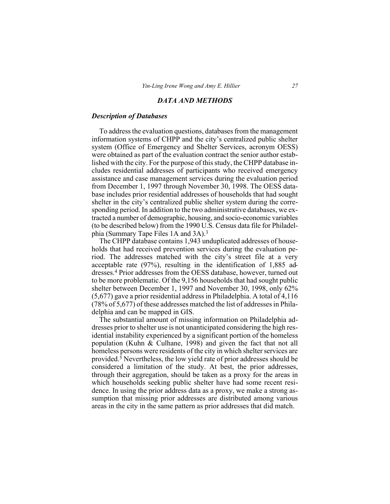#### **DATA AND METHODS**

#### **Description of Databases**

To address the evaluation questions, databases from the management information systems of CHPP and the city's centralized public shelter system (Office of Emergency and Shelter Services, acronym OESS) were obtained as part of the evaluation contract the senior author established with the city. For the purpose of this study, the CHPP database includes residential addresses of participants who received emergency assistance and case management services during the evaluation period from December 1, 1997 through November 30, 1998. The OESS database includes prior residential addresses of households that had sought shelter in the city's centralized public shelter system during the corresponding period. In addition to the two administrative databases, we extracted a number of demographic, housing, and socio-economic variables (to be described below) from the 1990 U.S. Census data file for Philadelphia (Summary Tape Files 1A and 3A).<sup>3</sup>

The CHPP database contains 1,943 unduplicated addresses of households that had received prevention services during the evaluation period. The addresses matched with the city's street file at a very acceptable rate  $(97%)$ , resulting in the identification of 1,885 addresses.<sup>4</sup> Prior addresses from the OESS database, however, turned out to be more problematic. Of the 9,156 households that had sought public shelter between December 1, 1997 and November 30, 1998, only 62%  $(5,677)$  gave a prior residential address in Philadelphia. A total of 4,116 (78% of 5,677) of these addresses matched the list of addresses in Philadelphia and can be mapped in GIS.

The substantial amount of missing information on Philadelphia addresses prior to shelter use is not unanticipated considering the high residential instability experienced by a significant portion of the homeless population (Kuhn & Culhane, 1998) and given the fact that not all homeless persons were residents of the city in which shelter services are provided.<sup>5</sup> Nevertheless, the low yield rate of prior addresses should be considered a limitation of the study. At best, the prior addresses, through their aggregation, should be taken as a proxy for the areas in which households seeking public shelter have had some recent residence. In using the prior address data as a proxy, we make a strong assumption that missing prior addresses are distributed among various areas in the city in the same pattern as prior addresses that did match.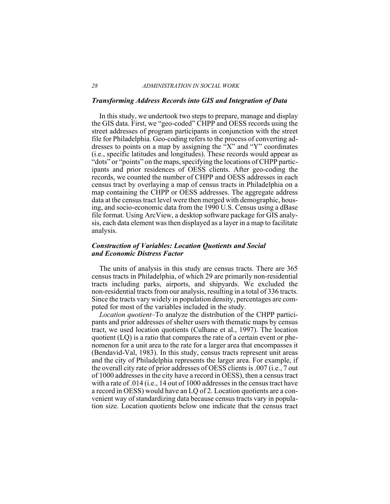#### ADMINISTRATION IN SOCIAL WORK

#### **Transforming Address Records into GIS and Integration of Data**

In this study, we undertook two steps to prepare, manage and display the GIS data. First, we "geo-coded" CHPP and OESS records using the street addresses of program participants in conjunction with the street file for Philadelphia. Geo-coding refers to the process of converting addresses to points on a map by assigning the  $\mathrm{K}^{\prime\prime}$  and "Y" coordinates (i.e., specific latitudes and longitudes). These records would appear as "dots" or "points" on the maps, specifying the locations of CHPP participants and prior residences of OESS clients. After geo-coding the records, we counted the number of CHPP and OESS addresses in each census tract by overlaying a map of census tracts in Philadelphia on a map containing the CHPP or OESS addresses. The aggregate address data at the census tract level were then merged with demographic, housing, and socio-economic data from the 1990 U.S. Census using a dBase file format. Using ArcView, a desktop software package for GIS analysis, each data element was then displayed as a layer in a map to facilitate analysis.

#### **Construction of Variables: Location Quotients and Social** and Economic Distress Factor

The units of analysis in this study are census tracts. There are 365 census tracts in Philadelphia, of which 29 are primarily non-residential tracts including parks, airports, and ship and strengthends. We excluded the non-residential tracts from our analysis, resulting in a total of 336 tracts. Since the tracts vary widely in population density, percentages are computed for most of the variables included in the study.

*Location quotient*–To analyze the distribution of the CHPP participants and prior addresses of shelter users with the matic maps by census tract, we used location quotients (Culhane et al., 1997). The location quotient (LQ) is a ratio that compares the rate of a certain event or phenomenon for a unit area to the rate for a larger area that encompasses it (Bendavid-Val, 1983). In this study, census tracts represent unit areas and the city of Philadelphia represents the larger area. For example, if the overall city rate of prior addresses of OESS clients is .007 (i.e., 7 out of 1000 addresses in the city have a record in OESS), then a census tract with a rate of .014 (i.e., 14 out of 1000 addresses in the census tract have a record in OESS) would have an LQ of 2. Location quotients are a convenient way of standardizing data because census tracts vary in population size. Location quotients below one indicate that the census tract

28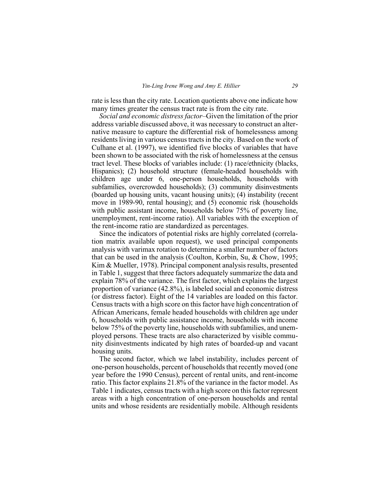rate is less than the city rate. Location quotients above one indicate how many times greater the census tract rate is from the city rate.

*Social and economic distress factor–Given the limitation of the prior* address variable discussed above, it was necessary to construct an alternative measure to capture the differential risk of homelessness among residents living in various census tracts in the city. Based on the work of Culhane et al. (1997), we identified five blocks of variables that have been shown to be associated with the risk of homelessness at the census tract level. These blocks of variables include: (1) race/ethnicity (blacks, Hispanics); (2) household structure (female-headed households with children age under 6, one-person households, households with subfamilies, overcrowded households); (3) community disinvestments (boarded up housing units, vacant housing units);  $(4)$  instability (recent move in 1989-90, rental housing); and  $(5)$  economic risk (households with public assistant income, households below 75% of poverty line, unemployment, rent-income ratio). All variables with the exception of the rent-income ratio are standardized as percentages.

Since the indicators of potential risks are highly correlated (correlation matrix available upon request), we used principal components analysis with varimax rotation to determine a smaller number of factors that can be used in the analysis (Coulton, Korbin, Su, & Chow, 1995;  $Kim & Mueller, 1978)$ . Principal component analysis results, presented in Table 1, suggest that three factors adequately summarize the data and explain 78% of the variance. The first factor, which explains the largest proportion of variance  $(42.8\%)$ , is labeled social and economic distress (or distress factor). Eight of the 14 variables are loaded on this factor. Census tracts with a high score on this factor have high concentration of African Americans, female headed households with children age under 6, households with public assistance income, households with income below 75% of the poverty line, households with subfamilies, and unemployed persons. These tracts are also characterized by visible community disinvestments indicated by high rates of boarded-up and vacant housing units.

The second factor, which we label instability, includes percent of one-person households, percent of households that recently moved (one year before the 1990 Census), percent of rental units, and rent-income ratio. This factor explains 21.8% of the variance in the factor model. As Table 1 indicates, census tracts with a high score on this factor represent areas with a high concentration of one-person households and rental units and whose residents are residentially mobile. Although residents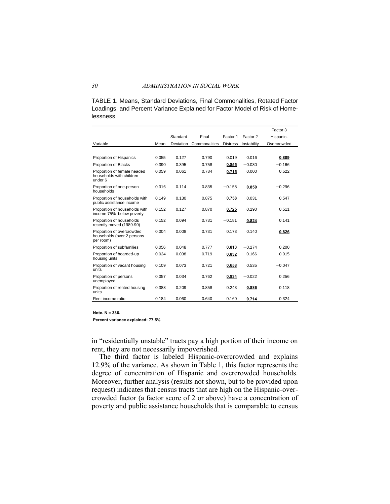TABLE 1. Means, Standard Deviations, Final Commonalities, Rotated Factor Loadings, and Percent Variance Explained for Factor Model of Risk of Homelessness

|                                                                      |       |                               |               |                 |             | Factor 3    |
|----------------------------------------------------------------------|-------|-------------------------------|---------------|-----------------|-------------|-------------|
|                                                                      |       | Standard<br>Final<br>Factor 1 |               | Factor 2        | Hispanic-   |             |
| Variable                                                             | Mean  | Deviation                     | Commonalities | <b>Distress</b> | Instability | Overcrowded |
|                                                                      |       |                               |               |                 |             |             |
| Proportion of Hispanics                                              | 0.055 | 0.127                         | 0.790         | 0.019           | 0.016       | 0.889       |
| Proportion of Blacks                                                 | 0.390 | 0.395                         | 0.758         | 0.855           | $-0.030$    | $-0.166$    |
| Proportion of female headed<br>households with children<br>under 6   | 0.059 | 0.061                         | 0.784         | 0.715           | 0.000       | 0.522       |
| Proportion of one-person<br>households                               | 0.316 | 0.114                         | 0.835         | $-0.158$        | 0.850       | $-0.296$    |
| Proportion of households with<br>public assistance income            | 0.149 | 0.130                         | 0.875         | 0.758           | 0.031       | 0.547       |
| Proportion of households with<br>income 75% below poverty            | 0.152 | 0.127                         | 0.870         | 0.725           | 0.290       | 0.511       |
| Proportion of households<br>recently moved (1989-90)                 | 0.152 | 0.094                         | 0.731         | $-0.181$        | 0.824       | 0.141       |
| Proportion of overcrowded<br>households (over 2 persons<br>per room) | 0.004 | 0.008                         | 0.731         | 0.173           | 0.140       | 0.826       |
| Proportion of subfamilies                                            | 0.056 | 0.048                         | 0.777         | 0.813           | $-0.274$    | 0.200       |
| Proportion of boarded-up<br>housing units                            | 0.024 | 0.038                         | 0.719         | 0.832           | 0.166       | 0.015       |
| Proportion of vacant housing<br>units                                | 0.109 | 0.073                         | 0.721         | 0.658           | 0.535       | $-0.047$    |
| Proportion of persons<br>unemployed                                  | 0.057 | 0.034                         | 0.762         | 0.834           | $-0.022$    | 0.256       |
| Proportion of rented housing<br>units                                | 0.388 | 0.209                         | 0.858         | 0.243           | 0.886       | 0.118       |
| Rent income ratio                                                    | 0.184 | 0.060                         | 0.640         | 0.160           | 0.714       | 0.324       |

#### **Note. N = 336.**

**Percent variance explained: 77.5%**

in "residentially unstable" tracts pay a high portion of their income on rent, they are not necessarily impoverished.

The third factor is labeled Hispanic-overcrowded and explains 12.9% of the variance. As shown in Table 1, this factor represents the degree of concentration of Hispanic and overcrowded households. Moreover, further analysis (results not shown, but to be provided upon request) indicates that census tracts that are high on the Hispanic-overcrowded factor (a factor score of 2 or above) have a concentration of poverty and public assistance households that is comparable to census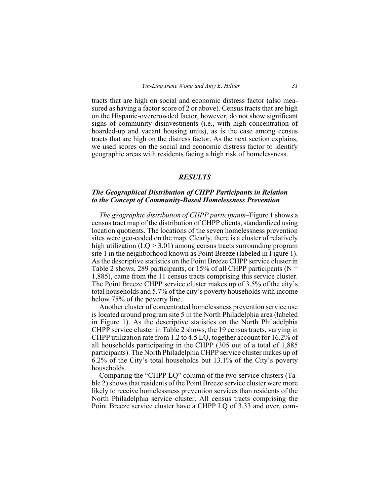tracts that are high on social and economic distress factor (also measured as having a factor score of 2 or above). Census tracts that are high on the Hispanic-overcrowded factor, however, do not show significant signs of community disinvestments (i.e., with high concentration of boarded-up and vacant housing units), as is the case among census tracts that are high on the distress factor. As the next section explains, we used scores on the social and economic distress factor to identify geographic areas with residents facing a high risk of homelessness.

#### **RESULTS**

#### The Geographical Distribution of CHPP Participants in Relation to the Concept of Community-Based Homelessness Prevention

The geographic distribution of CHPP participants–Figure 1 shows a census tract map of the distribution of CHPP clients, standardized using location quotients. The locations of the seven homelessness prevention sites were geo-coded on the map. Clearly, there is a cluster of relatively high utilization  $(LO > 3.01)$  among census tracts surrounding program site 1 in the neighborhood known as Point Breeze (labeled in Figure 1). As the descriptive statistics on the Point Breeze CHPP service cluster in Table 2 shows, 289 participants, or 15% of all CHPP participants ( $N =$ 1,885), came from the 11 census tracts comprising this service cluster. The Point Breeze CHPP service cluster makes up of 3.5% of the city's total households and 5.7% of the city's poverty households with income below 75% of the poverty line.

Another cluster of concentrated homelessness prevention service use is located around program site 5 in the North Philadelphia area (labeled in Figure 1). As the descriptive statistics on the North Philadelphia CHPP service cluster in Table 2 shows, the 19 census tracts, varying in CHPP utilization rate from 1.2 to 4.5 LQ, together account for  $16.2\%$  of all households participating in the CHPP (305 out of a total of 1,885) participants). The North Philadelphia CHPP service cluster makes up of 6.2% of the City's total households but 13.1% of the City's poverty households.

Comparing the "CHPP LQ" column of the two service clusters (Table 2) shows that residents of the Point Breeze service cluster were more likely to receive homelessness prevention services than residents of the North Philadelphia service cluster. All census tracts comprising the Point Breeze service cluster have a CHPP LQ of 3.33 and over, com-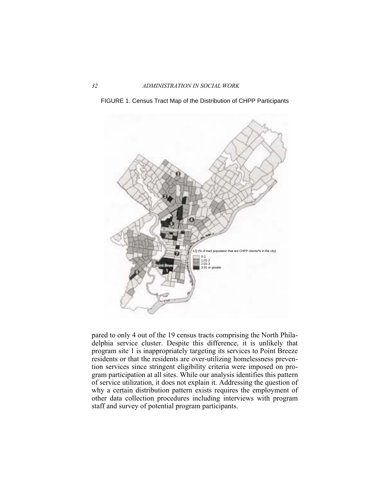



pared to only 4 out of the 19 census tracts comprising the North Philadelphia service cluster. Despite this difference, it is unlikely that program site 1 is inappropriately targeting its services to Point Breeze residents or that the residents are over-utilizing homelessness prevention services since stringent eligibility criteria were imposed on program participation at all sites. While our analysis identifies this pattern of service utilization, it does not explain it. Addressing the question of why a certain distribution pattern exists requires the employment of other data collection procedures including interviews with program staff and survey of potential program participants.

 $32$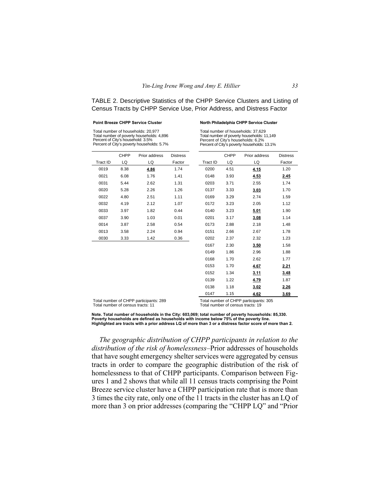TABLE 2. Descriptive Statistics of the CHPP Service Clusters and Listing of Census Tracts by CHPP Service Use, Prior Address, and Distress Factor

#### **Point Breeze CHPP Service Cluster**

#### **North Philadelphia CHPP Service Cluster**

Total number of households: 20,977 Total number of poverty households: 4,896 Percent of City's household: 3.5% Percent of City's poverty households: 5.7% Total number of households: 37,629 Total number of poverty households: 11,149 Percent of City's households: 6.2% Percent of City's poverty households: 13.1%

|          | <b>CHPP</b> | Prior address | <b>Distress</b> |          | <b>CHPP</b> | Prior address | <b>Distress</b> |
|----------|-------------|---------------|-----------------|----------|-------------|---------------|-----------------|
| Tract ID | LQ          | LQ            | Factor          | Tract ID | LQ          | LQ            | Factor          |
| 0019     | 8.38        | 4.86          | 1.74            | 0200     | 4.51        | 4.15          | 1.20            |
| 0021     | 6.08        | 1.76          | 1.41            | 0148     | 3.93        | 4.53          | 2.45            |
| 0031     | 5.44        | 2.62          | 1.31            | 0203     | 3.71        | 2.55          | 1.74            |
| 0020     | 5.28        | 2.26          | 1.26            | 0137     | 3.33        | 3.03          | 1.70            |
| 0022     | 4.80        | 2.51          | 1.11            | 0169     | 3.29        | 2.74          | 1.59            |
| 0032     | 4.19        | 2.12          | 1.07            | 0172     | 3.23        | 2.05          | 1.12            |
| 0033     | 3.97        | 1.82          | 0.44            | 0140     | 3.23        | 5.01          | 1.90            |
| 0037     | 3.90        | 1.03          | 0.01            | 0201     | 3.17        | 3.08          | 1.14            |
| 0014     | 3.87        | 2.58          | 0.54            | 0173     | 2.88        | 2.18          | 1.48            |
| 0013     | 3.58        | 2.24          | 0.94            | 0151     | 2.66        | 2.67          | 1.78            |
| 0030     | 3.33        | 1.42          | 0.36            | 0202     | 2.37        | 2.32          | 1.23            |
|          |             |               |                 | 0167     | 2.30        | 3.50          | 1.58            |
|          |             |               |                 | 0149     | 1.86        | 2.96          | 1.88            |
|          |             |               |                 | 0168     | 1.70        | 2.62          | 1.77            |
|          |             |               |                 | 0153     | 1.70        | 4.67          | 2.21            |
|          |             |               |                 | 0152     | 1.34        | 3.11          | 3.48            |
|          |             |               |                 | 0139     | 1.22        | 4.79          | 1.87            |
|          |             |               |                 | 0138     | 1.18        | 3.02          | 2.26            |
|          |             |               |                 | 0147     | 1.15        | 4.62          | 3.69            |

Total number of CHPP participants: 289 Total number of census tracts: 11

Total number of CHPP participants: 305 Total number of census tracts: 19

**Note. Total number of households in the City: 603,069; total number of poverty households: 85,330. Poverty households are defined as households with income below 75% of the poverty line. Highlighted are tracts with a prior address LQ of more than 3 or a distress factor score of more than 2.**

The geographic distribution of CHPP participants in relation to the distribution of the risk of homelessness-Prior addresses of households that have sought emergency shelter services were aggregated by census tracts in order to compare the geographic distribution of the risk of homelessness to that of CHPP participants. Comparison between Figures 1 and 2 shows that while all 11 census tracts comprising the Point Breeze service cluster have a CHPP participation rate that is more than 3 times the city rate, only one of the 11 tracts in the cluster has an LQ of more than 3 on prior addresses (comparing the "CHPP LQ" and "Prior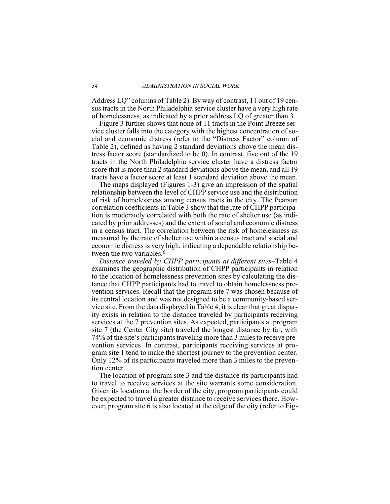Address LQ" columns of Table 2). By way of contrast, 11 out of 19 census tracts in the North Philadelphia service cluster have a very high rate of homelessness, as indicated by a prior address LQ of greater than 3.

Figure 3 further shows that none of 11 tracts in the Point Breeze service cluster falls into the category with the highest concentration of social and economic distress (refer to the "Distress Factor" column of Table 2), defined as having 2 standard deviations above the mean distress factor score (standardized to be 0). In contrast, five out of the 19 tracts in the North Philadelphia service cluster have a distress factor score that is more than 2 standard deviations above the mean, and all 19 tracts have a factor score at least 1 standard deviation above the mean.

The maps displayed (Figures 1-3) give an impression of the spatial relationship between the level of CHPP service use and the distribution of risk of homelessness among census tracts in the city. The Pearson correlation coefficients in Table 3 show that the rate of CHPP participation is moderately correlated with both the rate of shelter use (as indicated by prior addresses) and the extent of social and economic distress in a census tract. The correlation between the risk of homelessness as measured by the rate of shelter use within a census tract and social and economic distress is very high, indicating a dependable relationship between the two variables.<sup>6</sup>

*Distance traveled by CHPP participants at different sites-Table 4* examines the geographic distribution of CHPP participants in relation to the location of homelessness prevention sites by calculating the distance that CHPP participants had to travel to obtain homelessness prevention services. Recall that the program site 7 was chosen because of its central location and was not designed to be a community-based service site. From the data displayed in Table 4, it is clear that great disparity exists in relation to the distance traveled by participants receiving services at the 7 prevention sites. As expected, participants at program site 7 (the Center City site) traveled the longest distance by far, with 74% of the site's participants traveling more than 3 miles to receive prevention services. In contrast, participants receiving services at program site 1 tend to make the shortest journey to the prevention center. Only 12% of its participants traveled more than 3 miles to the prevention center.

The location of program site 3 and the distance its participants had to travel to receive services at the site warrants some consideration. Given its location at the border of the city, program participants could be expected to travel a greater distance to receive services there. However, program site 6 is also located at the edge of the city (refer to Fig-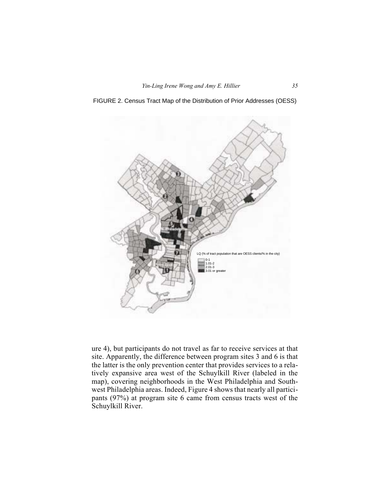FIGURE 2. Census Tract Map of the Distribution of Prior Addresses (OESS)



ure 4), but participants do not travel as far to receive services at that site. Apparently, the difference between program sites 3 and 6 is that the latter is the only prevention center that provides services to a relatively expansive area west of the Schuylkill River (labeled in the map), covering neighborhoods in the West Philadelphia and Southwest Philadelphia areas. Indeed, Figure 4 shows that nearly all participants  $(97%)$  at program site 6 came from census tracts west of the Schuylkill River.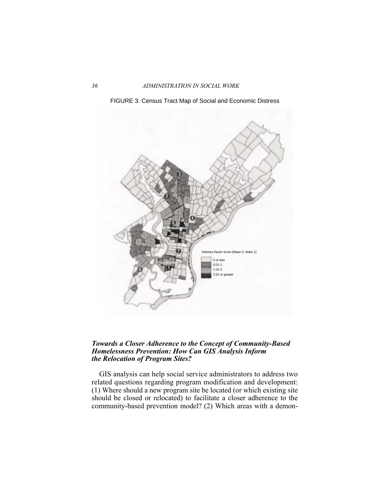36 ADMINISTRATION IN SOCIAL WORK





## *Towards a Closer Adherence to the Concept of Community-Based Homelessness Prevention: How Can GIS Analysis Inform the Relocation of Program Sites?*

GIS analysis can help social service administrators to address two related questions regarding program modification and development:  $(1)$  Where should a new program site be located (or which existing site should be closed or relocated) to facilitate a closer adherence to the community-based prevention model? (2) Which areas with a demon-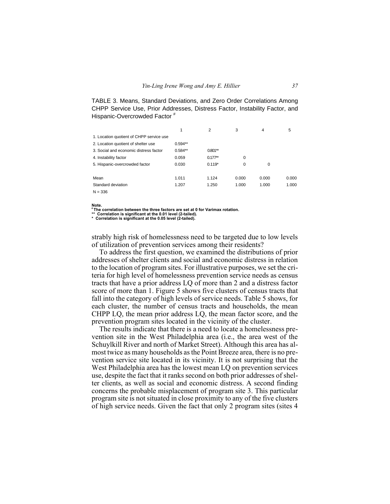TABLE 3. Means, Standard Deviations, and Zero Order Correlations Among CHPP Service Use, Prior Addresses, Distress Factor, Instability Factor, and Hispanic-Overcrowded Factor #

|                                          | 1         | 2         | 3        | 4     | 5     |
|------------------------------------------|-----------|-----------|----------|-------|-------|
| 1. Location quotient of CHPP service use |           |           |          |       |       |
| 2. Location quotient of shelter use      | $0.594**$ |           |          |       |       |
| 3. Social and economic distress factor   | $0.584**$ | $0.801**$ |          |       |       |
| 4. Instability factor                    | 0.059     | $0.177**$ | $\Omega$ |       |       |
| 5. Hispanic-overcrowded factor           | 0.030     | $0.119*$  | $\Omega$ | 0     |       |
|                                          |           |           |          |       |       |
| Mean                                     | 1.011     | 1.124     | 0.000    | 0.000 | 0.000 |
| Standard deviation                       | 1.207     | 1.250     | 1.000    | 1.000 | 1.000 |
| $N = 336$                                |           |           |          |       |       |

Note.

\*The correlation between the three factors are set at 0 for Varimax rotation.

The correlation between the three levels are set as \*\*<br>\*\* Correlation is significant at the 0.01 level (2-tailed).<br>\* Correlation is significant at the 0.05 level (2-tailed).

strably high risk of homelessness need to be targeted due to low levels of utilization of prevention services among their residents?

To address the first question, we examined the distributions of prior addresses of shelter clients and social and economic distress in relation to the location of program sites. For illustrative purposes, we set the criteria for high level of homelessness prevention service needs as census tracts that have a prior address LQ of more than 2 and a distress factor score of more than 1. Figure 5 shows five clusters of census tracts that fall into the category of high levels of service needs. Table 5 shows, for each cluster, the number of census tracts and households, the mean CHPP LQ, the mean prior address LQ, the mean factor score, and the prevention program sites located in the vicinity of the cluster.

The results indicate that there is a need to locate a homelessness prevention site in the West Philadelphia area (*i.e.*, the area west of the Schuylkill River and north of Market Street). Although this area has almost twice as many households as the Point Breeze area, there is no prevention service site located in its vicinity. It is not surprising that the West Philadelphia area has the lowest mean LQ on prevention services use, despite the fact that it ranks second on both prior addresses of shelter clients, as well as social and economic distress. A second finding concerns the probable misplacement of program site 3. This particular program site is not situated in close proximity to any of the five clusters of high service needs. Given the fact that only 2 program sites (sites 4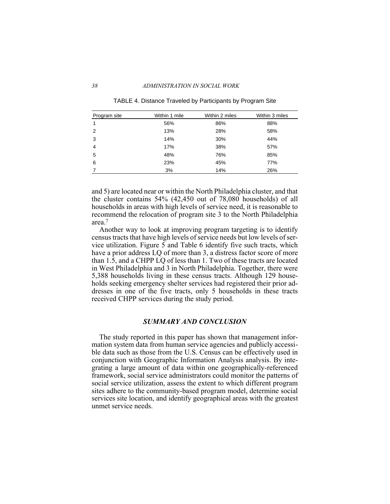#### 38 ADMINISTRATION IN SOCIAL WORK

| Program site | Within 1 mile | Within 2 miles | Within 3 miles |
|--------------|---------------|----------------|----------------|
| 1            | 56%           | 86%            | 88%            |
| 2            | 13%           | 28%            | 58%            |
| 3            | 14%           | 30%            | 44%            |
| 4            | 17%           | 38%            | 57%            |
| 5            | 48%           | 76%            | 85%            |
| 6            | 23%           | 45%            | 77%            |
|              | 3%            | 14%            | 26%            |

TABLE 4. Distance Traveled by Participants by Program Site

and 5) are located near or within the North Philadelphia cluster, and that the cluster contains  $54\%$  (42,450 out of 78,080 households) of all households in areas with high levels of service need, it is reasonable to recommend the relocation of program site 3 to the North Philadelphia  $area<sup>7</sup>$ 

Another way to look at improving program targeting is to identify census tracts that have high levels of service needs but low levels of service utilization. Figure  $\overline{5}$  and Table 6 identify five such tracts, which have a prior address LQ of more than 3, a distress factor score of more than 1.5, and a CHPP LQ of less than 1. Two of these tracts are located in West Philadelphia and 3 in North Philadelphia. Together, there were 5,388 households living in these census tracts. Although 129 households seeking emergency shelter services had registered their prior addresses in one of the five tracts, only 5 households in these tracts received CHPP services during the study period.

#### $SUMMARY AND CONCLUSION$

The study reported in this paper has shown that management information system data from human service agencies and publicly accessible data such as those from the U.S. Census can be effectively used in conjunction with Geographic Information Analysis analysis. By integrating a large amount of data within one geographically-referenced framework, social service administrators could monitor the patterns of social service utilization, assess the extent to which different program sites adhere to the community-based program model, determine social services site location, and identify geographical areas with the greatest unmet service needs.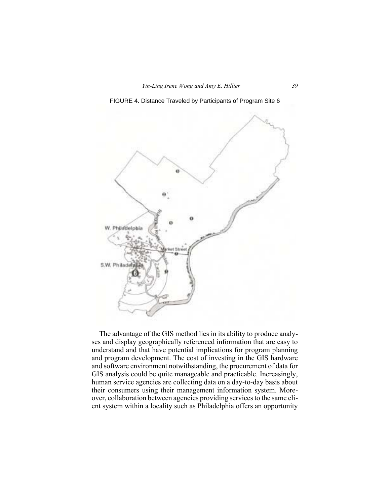FIGURE 4. Distance Traveled by Participants of Program Site 6



The advantage of the GIS method lies in its ability to produce analyses and display geographically referenced information that are easy to understand and that have potential implications for program planning and program development. The cost of investing in the GIS hardware and software environment notwithstanding, the procurement of data for GIS analysis could be quite manageable and practicable. Increasingly, human service agencies are collecting data on a day-to-day basis about their consumers using their management information system. Moreover, collaboration between agencies providing services to the same client system within a locality such as Philadelphia offers an opportunity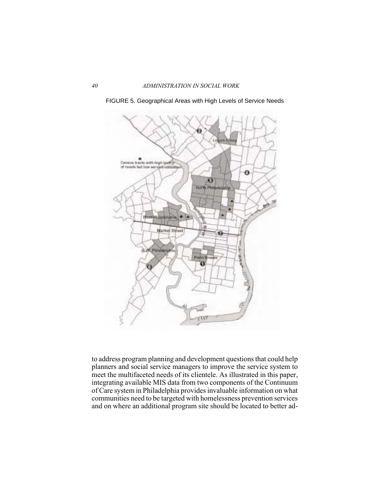

FIGURE 5. Geographical Areas with High Levels of Service Needs

to address program planning and development questions that could help planners and social service managers to improve the service system to meet the multifaceted needs of its clientele. As illustrated in this paper, integrating available MIS data from two components of the Continuum of Care system in Philadelphia provides invaluable information on what communities need to be targeted with homelessness prevention services and on where an additional program site should be located to better ad-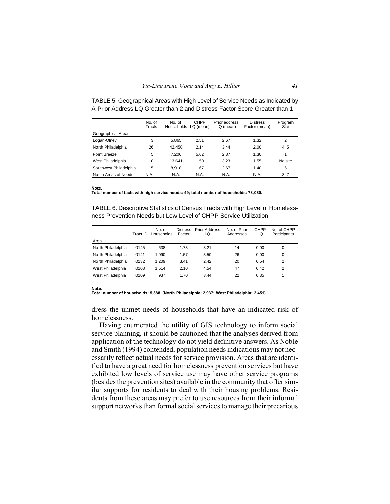|                        | No. of<br>Tracts | No. of<br>Households LQ (mean) | <b>CHPP</b> | Prior address<br>$LQ$ (mean) | <b>Distress</b><br>Factor (mean) | Program<br>Site |
|------------------------|------------------|--------------------------------|-------------|------------------------------|----------------------------------|-----------------|
| Geographical Areas     |                  |                                |             |                              |                                  |                 |
| Logan-Olney            | 3                | 5.865                          | 2.51        | 2.67                         | 1.32                             | 2               |
| North Philadelphia     | 26               | 42.450                         | 2.14        | 3.44                         | 2.00                             | 4, 5            |
| Point Breeze           | 5                | 7.206                          | 5.62        | 2.87                         | 1.30                             | 1               |
| West Philadelphia      | 10               | 13.641                         | 1.50        | 3.23                         | 1.55                             | No site         |
| Southwest Philadelphia | 5                | 8.918                          | 1.67        | 2.67                         | 1.40                             | 6               |
| Not in Areas of Needs  | N.A.             | N.A.                           | N.A.        | N.A.                         | N.A.                             | 3, 7            |

TABLE 5. Geographical Areas with High Level of Service Needs as Indicated by A Prior Address LQ Greater than 2 and Distress Factor Score Greater than 1

#### Note.

Total number of tacts with high service needs: 49; total number of households: 78,080.

TABLE 6. Descriptive Statistics of Census Tracts with High Level of Homelessness Prevention Needs but Low Level of CHPP Service Utilization

|                    | Tract ID | No. of<br>Households | <b>Distress</b><br>Factor | <b>Prior Address</b><br>LQ | No. of Prior<br>Addresses | <b>CHPP</b><br>LQ | No. of CHPP<br>Participants |
|--------------------|----------|----------------------|---------------------------|----------------------------|---------------------------|-------------------|-----------------------------|
| Area               |          |                      |                           |                            |                           |                   |                             |
| North Philadelphia | 0145     | 638                  | 1.73                      | 3.21                       | 14                        | 0.00              | 0                           |
| North Philadelphia | 0141     | 1.090                | 1.57                      | 3.50                       | 26                        | 0.00              | 0                           |
| North Philadelphia | 0132     | 1.209                | 3.41                      | 2.42                       | 20                        | 0.54              | 2                           |
| West Philadelphia  | 0108     | 1.514                | 2.10                      | 4.54                       | 47                        | 0.42              | $\overline{2}$              |
| West Philadelphia  | 0109     | 937                  | 1.70                      | 3.44                       | 22                        | 0.35              |                             |

#### Note.

Total number of households: 5,388 (North Philadelphia: 2,937; West Philadelphia: 2,451).

dress the unmet needs of households that have an indicated risk of homelessness.

Having enumerated the utility of GIS technology to inform social service planning, it should be cautioned that the analyses derived from application of the technology do not yield definitive answers. As Noble and Smith (1994) contended, population needs indications may not necessarily reflect actual needs for service provision. Areas that are identified to have a great need for homelessness prevention services but have exhibited low levels of service use may have other service programs (besides the prevention sites) available in the community that offer similar supports for residents to deal with their housing problems. Residents from these areas may prefer to use resources from their informal support networks than formal social services to manage their precarious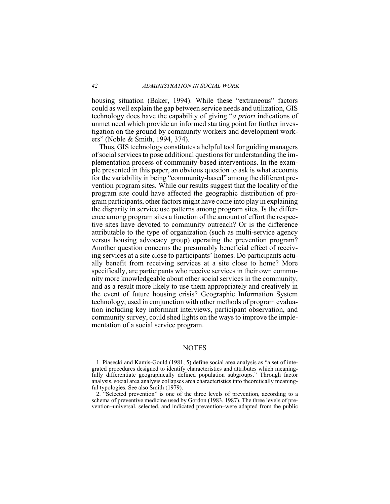housing situation (Baker, 1994). While these "extraneous" factors could as well explain the gap between service needs and utilization, GIS technology does have the capability of giving "*a priori* indications of unmet need which provide an informed starting point for further investigation on the ground by community workers and development workers" (Noble & Smith, 1994, 374).

Thus, GIS technology constitutes a helpful tool for guiding managers of social services to pose additional questions for understanding the implementation process of community-based interventions. In the example presented in this paper, an obvious question to ask is what accounts for the variability in being "community-based" among the different prevention program sites. While our results suggest that the locality of the program site could have affected the geographic distribution of program participants, other factors might have come into play in explaining the disparity in service use patterns among program sites. Is the difference among program sites a function of the amount of effort the respective sites have devoted to community outreach? Or is the difference attributable to the type of organization (such as multi-service agency versus housing advocacy group) operating the prevention program? Another question concerns the presumably beneficial effect of receiving services at a site close to participants' homes. Do participants actually benefit from receiving services at a site close to home? More specifically, are participants who receive services in their own community more knowledgeable about other social services in the community, and as a result more likely to use them appropriately and creatively in the event of future housing crisis? Geographic Information System technology, used in conjunction with other methods of program evaluation including key informant interviews, participant observation, and community survey, could shed lights on the ways to improve the implementation of a social service program.

#### **NOTES**

1. Piasecki and Kamis-Gould (1981, 5) define social area analysis as "a set of integrated procedures designed to identify characteristics and attributes which meaningfully differentiate geographically defined population subgroups." Through factor analysis, social area analysis collapses area characteristics into theoretically meaningful typologies. See also Smith (1979).

2. "Selected prevention" is one of the three levels of prevention, according to a schema of preventive medicine used by Gordon  $(1983, 1987)$ . The three levels of prevention-universal, selected, and indicated prevention-were adapted from the public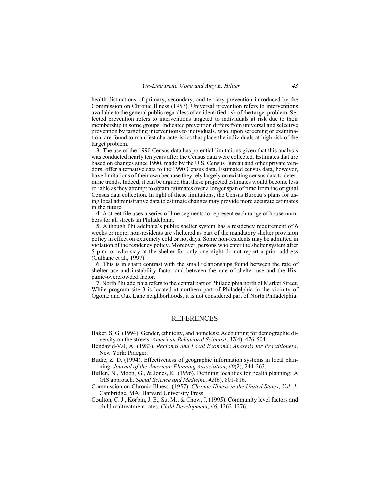health distinctions of primary, secondary, and tertiary prevention introduced by the Commission on Chronic Illness (1957). Universal prevention refers to interventions available to the general public regardless of an identified risk of the target problem. Selected prevention refers to interventions targeted to individuals at risk due to their membership in some groups. Indicated prevention differs from universal and selective prevention by targeting interventions to individuals, who, upon screening or examination, are found to manifest characteristics that place the individuals at high risk of the target problem.

3. The use of the 1990 Census data has potential limitations given that this analysis was conducted nearly ten years after the Census data were collected. Estimates that are based on changes since 1990, made by the U.S. Census Bureau and other private vendors, offer alternative data to the 1990 Census data. Estimated census data, however, have limitations of their own because they rely largely on existing census data to determine trends. Indeed, it can be argued that these projected estimates would become less reliable as they attempt to obtain estimates over a longer span of time from the original Census data collection. In light of these limitations, the Census Bureau's plans for using local administrative data to estimate changes may provide more accurate estimates in the future.

4. A street file uses a series of line segments to represent each range of house numbers for all streets in Philadelphia.

5. Although Philadelphia's public shelter system has a residency requirement of 6 weeks or more, non-residents are sheltered as part of the mandatory shelter provision policy in effect on extremely cold or hot days. Some non-residents may be admitted in violation of the residency policy. Moreover, persons who enter the shelter system after 5 p.m. or who stay at the shelter for only one night do not report a prior address  $(Culhane et al., 1997).$ 

6. This is in sharp contrast with the small relationships found between the rate of shelter use and instability factor and between the rate of shelter use and the Hispanic-overcrowded factor.

7. North Philadelphia refers to the central part of Philadelphia north of Market Street. While program site 3 is located at northern part of Philadelphia in the vicinity of Ogontz and Oak Lane neighborhoods, it is not considered part of North Philadelphia.

### **REFERENCES**

- Baker, S. G. (1994). Gender, ethnicity, and homeless: Accounting for demographic diversity on the streets. American Behavioral Scientist, 37(4), 476-504.
- Bendavid-Val, A. (1983). Regional and Local Economic Analysis for Practitioners. New York: Praeger.
- Budic, Z. D. (1994). Effectiveness of geographic information systems in local planning. Journal of the American Planning Association, 60(2), 244-263.
- Bullen, N., Moon, G., & Jones, K. (1996). Defining localities for health planning: A GIS approach. Social Science and Medicine, 42(6), 801-816.
- Commission on Chronic Illness. (1957). *Chronic Illness in the United States, Vol. 1.* Cambridge, MA: Harvard University Press.
- Coulton, C. J., Korbin, J. E., Su, M., & Chow, J. (1995). Community level factors and child maltreatment rates. *Child Development*, 66, 1262-1276.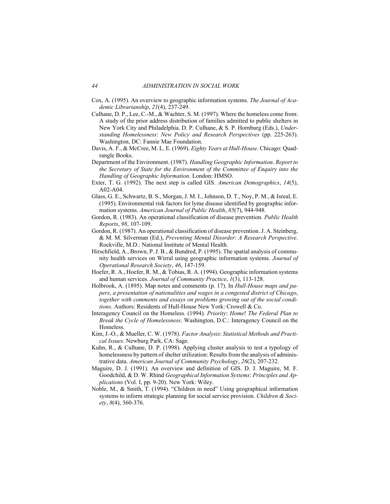- Cox, A. (1995). An overview to geographic information systems. The Journal of Academic Librarianship, 21(4), 237-249.
- Culhane, D. P., Lee, C.-M., & Wachter, S. M. (1997). Where the homeless come from: A study of the prior address distribution of families admitted to public shelters in New York City and Philadelphia. D. P. Culhane, & S. P. Hornburg (Eds.), Understanding Homelessness: New Policy and Research Perspectives (pp. 225-263). Washington, DC: Fannie Mae Foundation.
- Davis, A. F., & McCree, M. L. E. (1969). Eighty Years at Hull-House. Chicago: Quadrangle Books.
- Department of the Environment. (1987). Handling Geographic Information. Report to the Secretary of State for the Environment of the Committee of Enguiry into the Handling of Geographic Information. London: HMSO.
- Exter, T. G. (1992). The next step is called GIS. American Demographics, 14(5), A02-A04.
- Glass, G. E., Schwartz, B. S., Morgan, J. M. I., Johnson, D. T., Noy, P. M., & Isreal, E. (1995). Environmental risk factors for lyme disease identified by geographic information systems. American Journal of Public Health, 85(7), 944-948.
- Gordon, R. (1983). An operational classification of disease prevention. Public Health Reports, 98, 107-109.
- Gordon, R. (1987). An operational classification of disease prevention. J. A. Steinberg, & M. M. Silverman (Ed.), Preventing Mental Disorder: A Research Perspective. Rockville, M.D.: National Institute of Mental Health.
- Hirschfield, A., Brown, P. J. B., & Bundred, P. (1995). The spatial analysis of community health services on Wirral using geographic information systems. Journal of Operational Research Society, 46, 147-159.
- Hoefer, R. A., Hoefer, R. M., & Tobias, R. A. (1994). Geographic information systems and human services. Journal of Community Practice, 1(3), 113-128.
- Holbrook, A. (1895). Map notes and comments (p. 17). In *Hull-House maps and pa*pers, a presentation of nationalities and wages in a congested district of Chicago, together with comments and essays on problems growing out of the social conditions. Authors: Residents of Hull-House New York: Crowell & Co.
- Interagency Council on the Homeless. (1994). Priority: Home! The Federal Plan to Break the Cycle of Homelessness. Washington, D.C.: Interagency Council on the Homeless.
- Kim, J.-O., & Mueller, C. W. (1978). Factor Analysis: Statistical Methods and Practical Issues. Newburg Park, CA: Sage.
- Kuhn, R., & Culhane, D. P. (1998). Applying cluster analysis to test a typology of homelessness by pattern of shelter utilization: Results from the analysis of administrative data. American Journal of Community Psychology, 26(2), 207-232.
- Maguire, D. J. (1991). An overview and definition of GIS. D. J. Maguire, M. F. Goodchild, & D. W. Rhind Geographical Information Systems: Principles and Ap*plications* (Vol. I, pp. 9-20). New York: Wiley.
- Noble, M., & Smith, T. (1994). "Children in need" Using geographical information systems to inform strategic planning for social service provision. Children & Soci $ety, 8(4), 360-376.$